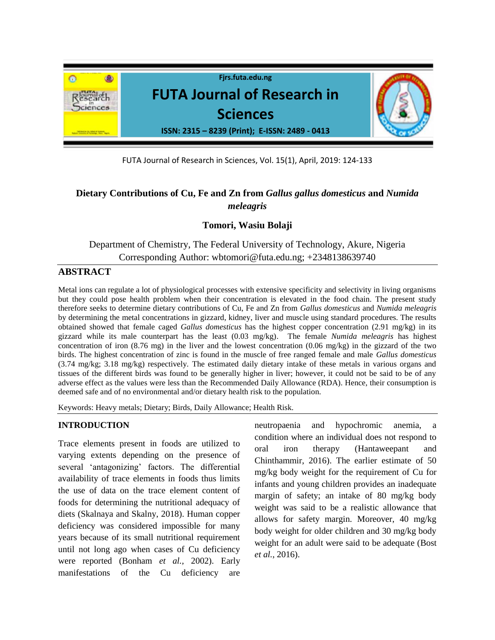

FUTA Journal of Research in Sciences, Vol. 15(1), April, 2019: 124-133

# **Dietary Contributions of Cu, Fe and Zn from** *Gallus gallus domesticus* **and** *Numida meleagris*

## **Tomori, Wasiu Bolaji**

Department of Chemistry, The Federal University of Technology, Akure, Nigeria Corresponding Author: [wbtomori@futa.edu.ng;](mailto:wbtomori@futa.edu.ng) +2348138639740

## **ABSTRACT**

Metal ions can regulate a lot of physiological processes with extensive specificity and selectivity in living organisms but they could pose health problem when their concentration is elevated in the food chain. The present study therefore seeks to determine dietary contributions of Cu, Fe and Zn from *Gallus domesticus* and *Numida meleagris*  by determining the metal concentrations in gizzard, kidney, liver and muscle using standard procedures. The results obtained showed that female caged *Gallus domesticus* has the highest copper concentration (2.91 mg/kg) in its gizzard while its male counterpart has the least (0.03 mg/kg). The female *Numida meleagris* has highest concentration of iron (8.76 mg) in the liver and the lowest concentration (0.06 mg/kg) in the gizzard of the two birds. The highest concentration of zinc is found in the muscle of free ranged female and male *Gallus domesticus*  (3.74 mg/kg; 3.18 mg/kg) respectively. The estimated daily dietary intake of these metals in various organs and tissues of the different birds was found to be generally higher in liver; however, it could not be said to be of any adverse effect as the values were less than the Recommended Daily Allowance (RDA). Hence, their consumption is deemed safe and of no environmental and/or dietary health risk to the population.

Keywords: Heavy metals; Dietary; Birds, Daily Allowance; Health Risk.

#### **INTRODUCTION**

Trace elements present in foods are utilized to varying extents depending on the presence of several 'antagonizing' factors. The differential availability of trace elements in foods thus limits the use of data on the trace element content of foods for determining the nutritional adequacy of diets (Skalnaya and Skalny, 2018). Human copper deficiency was considered impossible for many years because of its small nutritional requirement until not long ago when cases of Cu deficiency were reported (Bonham *et al.,* 2002). Early manifestations of the Cu deficiency are neutropaenia and hypochromic anemia, a condition where an individual does not respond to oral iron therapy (Hantaweepant and Chinthammir, 2016). The earlier estimate of 50 mg/kg body weight for the requirement of Cu for infants and young children provides an inadequate margin of safety; an intake of 80 mg/kg body weight was said to be a realistic allowance that allows for safety margin. Moreover, 40 mg/kg body weight for older children and 30 mg/kg body weight for an adult were said to be adequate (Bost *et al.*, 2016).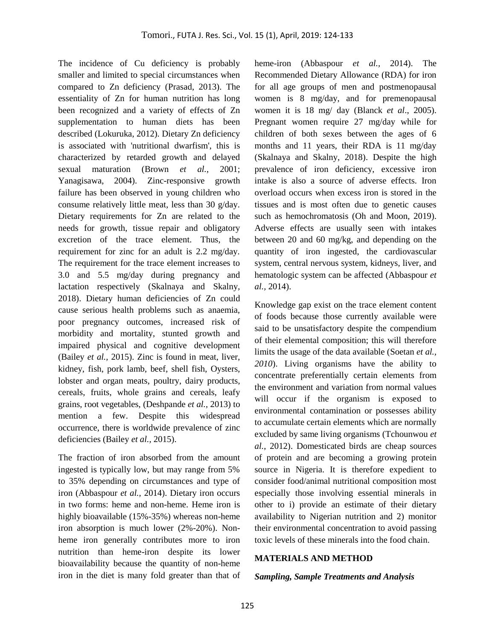The incidence of Cu deficiency is probably smaller and limited to special circumstances when compared to Zn deficiency (Prasad, 2013). The essentiality of Zn for human nutrition has long been recognized and a variety of effects of Zn supplementation to human diets has been described (Lokuruka, 2012). Dietary Zn deficiency is associated with 'nutritional dwarfism', this is characterized by retarded growth and delayed sexual maturation (Brown *et al.*, 2001; Yanagisawa, 2004). Zinc-responsive growth failure has been observed in young children who consume relatively little meat, less than 30 g/day. Dietary requirements for Zn are related to the needs for growth, tissue repair and obligatory excretion of the trace element. Thus, the requirement for zinc for an adult is 2.2 mg/day. The requirement for the trace element increases to 3.0 and 5.5 mg/day during pregnancy and lactation respectively (Skalnaya and Skalny, 2018). Dietary human deficiencies of Zn could cause serious health problems such as anaemia, poor pregnancy outcomes, increased risk of morbidity and mortality, stunted growth and impaired physical and cognitive development (Bailey *et al.,* 2015). Zinc is found in meat, liver, kidney, fish, pork lamb, beef, shell fish, Oysters, lobster and organ meats, poultry, dairy products, cereals, fruits, whole grains and cereals, leafy grains, root vegetables, (Deshpande *et al.,* 2013) to mention a few. Despite this widespread occurrence, there is worldwide prevalence of zinc deficiencies (Bailey *et al.,* 2015).

The fraction of iron absorbed from the amount ingested is typically low, but may range from 5% to 35% depending on circumstances and type of iron (Abbaspour *et al.,* 2014). Dietary iron occurs in two forms: heme and non-heme. Heme iron is highly bioavailable (15%-35%) whereas non-heme iron absorption is much lower (2%-20%). Nonheme iron generally contributes more to iron nutrition than heme-iron despite its lower bioavailability because the quantity of non-heme iron in the diet is many fold greater than that of

heme-iron (Abbaspour *et al.,* 2014). The Recommended Dietary Allowance (RDA) for iron for all age groups of men and postmenopausal women is 8 mg/day, and for premenopausal women it is 18 mg/ day (Blanck *et al*., 2005). Pregnant women require 27 mg/day while for children of both sexes between the ages of 6 months and 11 years, their RDA is 11 mg/day (Skalnaya and Skalny, 2018). Despite the high prevalence of iron deficiency, excessive iron intake is also a source of adverse effects. Iron overload occurs when excess iron is stored in the tissues and is most often due to genetic causes such as hemochromatosis (Oh and Moon, 2019). Adverse effects are usually seen with intakes between 20 and 60 mg/kg, and depending on the quantity of iron ingested, the cardiovascular system, central nervous system, kidneys, liver, and hematologic system can be affected (Abbaspour *et al.,* 2014).

Knowledge gap exist on the trace element content of foods because those currently available were said to be unsatisfactory despite the compendium of their elemental composition; this will therefore limits the usage of the data available (Soetan *et al., 2010*). Living organisms have the ability to concentrate preferentially certain elements from the environment and variation from normal values will occur if the organism is exposed to environmental contamination or possesses ability to accumulate certain elements which are normally excluded by same living organisms (Tchounwou *et al.*, 2012). Domesticated birds are cheap sources of protein and are becoming a growing protein source in Nigeria. It is therefore expedient to consider food/animal nutritional composition most especially those involving essential minerals in other to i) provide an estimate of their dietary availability to Nigerian nutrition and 2) monitor their environmental concentration to avoid passing toxic levels of these minerals into the food chain.

#### **MATERIALS AND METHOD**

#### *Sampling, Sample Treatments and Analysis*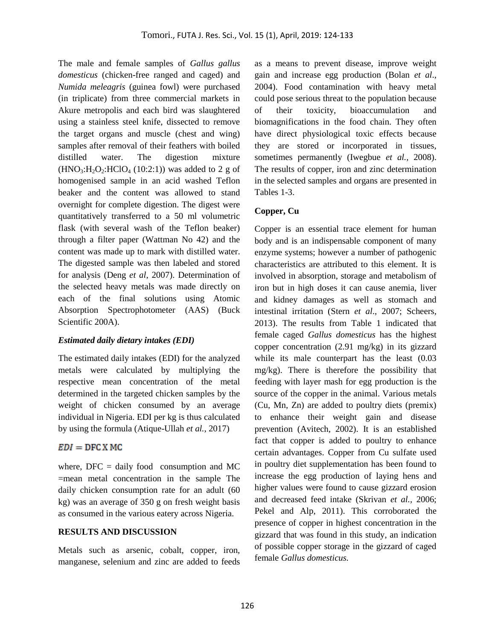The male and female samples of *Gallus gallus domesticus* (chicken-free ranged and caged) and *Numida meleagris* (guinea fowl) were purchased (in triplicate) from three commercial markets in Akure metropolis and each bird was slaughtered using a stainless steel knife, dissected to remove the target organs and muscle (chest and wing) samples after removal of their feathers with boiled distilled water. The digestion mixture  $(HNO<sub>3</sub>:H<sub>2</sub>O<sub>2</sub>:HClO<sub>4</sub> (10:2:1))$  was added to 2 g of homogenised sample in an acid washed Teflon beaker and the content was allowed to stand overnight for complete digestion. The digest were quantitatively transferred to a 50 ml volumetric flask (with several wash of the Teflon beaker) through a filter paper (Wattman No 42) and the content was made up to mark with distilled water. The digested sample was then labeled and stored for analysis (Deng *et al*, 2007). Determination of the selected heavy metals was made directly on each of the final solutions using Atomic Absorption Spectrophotometer (AAS) (Buck Scientific 200A).

#### *Estimated daily dietary intakes (EDI)*

The estimated daily intakes (EDI) for the analyzed metals were calculated by multiplying the respective mean concentration of the metal determined in the targeted chicken samples by the weight of chicken consumed by an average individual in Nigeria. EDI per kg is thus calculated by using the formula (Atique-Ullah *et al.*, 2017)

### $EDI = DFC X MC$

where,  $DFC = \text{daily food}$  consumption and MC =mean metal concentration in the sample The daily chicken consumption rate for an adult (60 kg) was an average of 350 g on fresh weight basis as consumed in the various eatery across Nigeria.

#### **RESULTS AND DISCUSSION**

Metals such as arsenic, cobalt, copper, iron, manganese, selenium and zinc are added to feeds as a means to prevent disease, improve weight gain and increase egg production (Bolan *et al*., 2004). Food contamination with heavy metal could pose serious threat to the population because of their toxicity, bioaccumulation and biomagnifications in the food chain. They often have direct physiological toxic effects because they are stored or incorporated in tissues, sometimes permanently (Iwegbue *et al.,* 2008). The results of copper, iron and zinc determination in the selected samples and organs are presented in Tables 1-3.

### **Copper, Cu**

Copper is an essential trace element for human body and is an indispensable component of many enzyme systems; however a number of pathogenic characteristics are attributed to this element. It is involved in absorption, storage and metabolism of iron but in high doses it can cause anemia, liver and kidney damages as well as stomach and intestinal irritation (Stern *et al*., 2007; Scheers, 2013). The results from Table 1 indicated that female caged *Gallus domesticus* has the highest copper concentration (2.91 mg/kg) in its gizzard while its male counterpart has the least (0.03 mg/kg). There is therefore the possibility that feeding with layer mash for egg production is the source of the copper in the animal. Various metals (Cu, Mn, Zn) are added to poultry diets (premix) to enhance their weight gain and disease prevention (Avitech, 2002). It is an established fact that copper is added to poultry to enhance certain advantages. Copper from Cu sulfate used in poultry diet supplementation has been found to increase the egg production of laying hens and higher values were found to cause gizzard erosion and decreased feed intake (Skrivan *et al.,* 2006; Pekel and Alp, 2011). This corroborated the presence of copper in highest concentration in the gizzard that was found in this study, an indication of possible copper storage in the gizzard of caged female *Gallus domesticus.*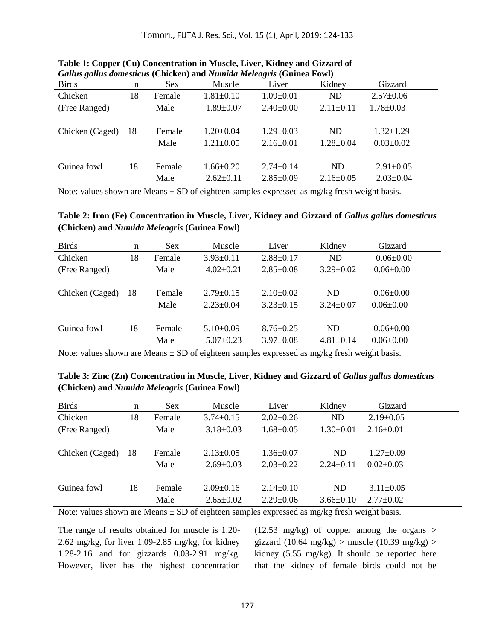| Galius galius domesticus (Chickell) and ivamida meleugris (Guinea Fowl) |     |            |                 |                 |                 |                 |  |
|-------------------------------------------------------------------------|-----|------------|-----------------|-----------------|-----------------|-----------------|--|
| <b>Birds</b>                                                            | n   | <b>Sex</b> | Muscle          | Liver           | Kidney          | Gizzard         |  |
| Chicken                                                                 | 18  | Female     | $1.81 \pm 0.10$ | $1.09 \pm 0.01$ | <b>ND</b>       | $2.57 \pm 0.06$ |  |
| (Free Ranged)                                                           |     | Male       | $1.89 \pm 0.07$ | $2.40\pm0.00$   | $2.11 \pm 0.11$ | $1.78 \pm 0.03$ |  |
| Chicken (Caged)                                                         | -18 | Female     | $1.20 \pm 0.04$ | $1.29 \pm 0.03$ | <b>ND</b>       | $1.32 \pm 1.29$ |  |
|                                                                         |     | Male       | $1.21 \pm 0.05$ | $2.16\pm0.01$   | $1.28 \pm 0.04$ | $0.03 \pm 0.02$ |  |
| Guinea fowl                                                             | 18  | Female     | $1.66 \pm 0.20$ | $2.74 \pm 0.14$ | ND              | $2.91 \pm 0.05$ |  |
|                                                                         |     | Male       | $2.62 \pm 0.11$ | $2.85 \pm 0.09$ | $2.16 \pm 0.05$ | $2.03 \pm 0.04$ |  |

**Table 1: Copper (Cu) Concentration in Muscle, Liver, Kidney and Gizzard of**  *Gallus gallus domesticus* **(Chicken) and** *Numida Meleagris* **(Guinea Fowl)**

Note: values shown are Means  $\pm$  SD of eighteen samples expressed as mg/kg fresh weight basis.

**Table 2: Iron (Fe) Concentration in Muscle, Liver, Kidney and Gizzard of** *Gallus gallus domesticus* **(Chicken) and** *Numida Meleagris* **(Guinea Fowl)**

| <b>Birds</b>    | n  | <b>Sex</b> | Muscle          | Liver           | Kidney          | Gizzard         |  |
|-----------------|----|------------|-----------------|-----------------|-----------------|-----------------|--|
| Chicken         | 18 | Female     | $3.93 \pm 0.11$ | $2.88 \pm 0.17$ | <b>ND</b>       | $0.06 \pm 0.00$ |  |
| (Free Ranged)   |    | Male       | $4.02 \pm 0.21$ | $2.85 \pm 0.08$ | $3.29 \pm 0.02$ | $0.06 \pm 0.00$ |  |
|                 |    |            |                 |                 |                 |                 |  |
| Chicken (Caged) | 18 | Female     | $2.79 \pm 0.15$ | $2.10\pm0.02$   | ND              | $0.06 \pm 0.00$ |  |
|                 |    | Male       | $2.23 \pm 0.04$ | $3.23 \pm 0.15$ | $3.24 \pm 0.07$ | $0.06 \pm 0.00$ |  |
|                 |    |            |                 |                 |                 |                 |  |
| Guinea fowl     | 18 | Female     | $5.10\pm0.09$   | $8.76 \pm 0.25$ | ND              | $0.06 \pm 0.00$ |  |
|                 |    | Male       | $5.07 \pm 0.23$ | $3.97 \pm 0.08$ | $4.81 \pm 0.14$ | $0.06 \pm 0.00$ |  |

Note: values shown are Means  $\pm$  SD of eighteen samples expressed as mg/kg fresh weight basis.

| Table 3: Zinc (Zn) Concentration in Muscle, Liver, Kidney and Gizzard of Gallus gallus domesticus |  |
|---------------------------------------------------------------------------------------------------|--|
| (Chicken) and <i>Numida Meleagris</i> (Guinea Fowl)                                               |  |

| <b>Birds</b>    | n  | <b>Sex</b> | Muscle          | Liver           | Kidney          | Gizzard         |  |
|-----------------|----|------------|-----------------|-----------------|-----------------|-----------------|--|
| Chicken         | 18 | Female     | $3.74 \pm 0.15$ | $2.02 \pm 0.26$ | ND              | $2.19 \pm 0.05$ |  |
| (Free Ranged)   |    | Male       | $3.18 \pm 0.03$ | $1.68 \pm 0.05$ | $1.30 \pm 0.01$ | $2.16 \pm 0.01$ |  |
|                 |    |            |                 |                 |                 |                 |  |
| Chicken (Caged) | 18 | Female     | $2.13 \pm 0.05$ | $1.36 \pm 0.07$ | <b>ND</b>       | $1.27 \pm 0.09$ |  |
|                 |    | Male       | $2.69 \pm 0.03$ | $2.03 \pm 0.22$ | $2.24 \pm 0.11$ | $0.02 \pm 0.03$ |  |
|                 |    |            |                 |                 |                 |                 |  |
| Guinea fowl     | 18 | Female     | $2.09 \pm 0.16$ | $2.14\pm0.10$   | <b>ND</b>       | $3.11 \pm 0.05$ |  |
|                 |    | Male       | $2.65 \pm 0.02$ | $2.29 \pm 0.06$ | $3.66 \pm 0.10$ | $2.77 \pm 0.02$ |  |

Note: values shown are Means  $\pm$  SD of eighteen samples expressed as mg/kg fresh weight basis.

The range of results obtained for muscle is 1.20- 2.62 mg/kg, for liver 1.09-2.85 mg/kg, for kidney 1.28-2.16 and for gizzards 0.03-2.91 mg/kg. However, liver has the highest concentration  $(12.53 \text{ mg/kg})$  of copper among the organs > gizzard (10.64 mg/kg) > muscle (10.39 mg/kg) > kidney (5.55 mg/kg). It should be reported here that the kidney of female birds could not be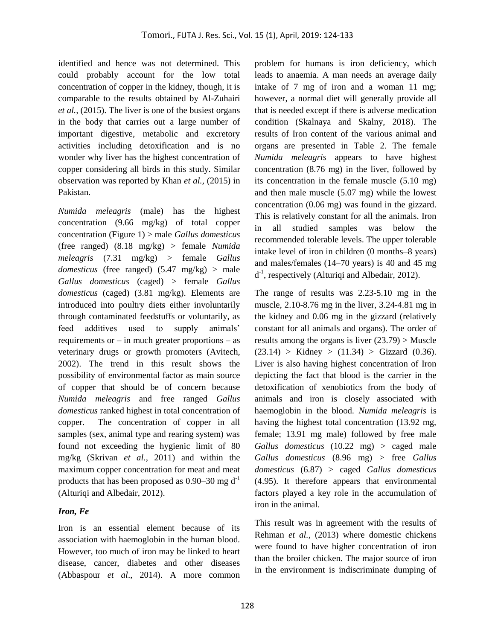identified and hence was not determined. This could probably account for the low total concentration of copper in the kidney, though, it is comparable to the results obtained by Al-Zuhairi *et al.,* (2015). The liver is one of the busiest organs in the body that carries out a large number of important digestive, metabolic and excretory activities including detoxification and is no wonder why liver has the highest concentration of copper considering all birds in this study. Similar observation was reported by Khan *et al.,* (2015) in Pakistan.

*Numida meleagris* (male) has the highest concentration (9.66 mg/kg) of total copper concentration (Figure 1) > male *Gallus domesticus* (free ranged) (8.18 mg/kg) > female *Numida meleagris* (7.31 mg/kg) > female *Gallus domesticus* (free ranged) (5.47 mg/kg) > male *Gallus domesticus* (caged) > female *Gallus domesticus* (caged) (3.81 mg/kg). Elements are introduced into poultry diets either involuntarily through contaminated feedstuffs or voluntarily, as feed additives used to supply animals' requirements or  $-$  in much greater proportions  $-$  as veterinary drugs or growth promoters (Avitech, 2002). The trend in this result shows the possibility of environmental factor as main source of copper that should be of concern because *Numida meleagris* and free ranged *Gallus domesticus* ranked highest in total concentration of copper. The concentration of copper in all samples (sex, animal type and rearing system) was found not exceeding the hygienic limit of 80 mg/kg (Skrivan *et al.,* 2011) and within the maximum copper concentration for meat and meat products that has been proposed as  $0.90-30$  mg d<sup>-1</sup> (Alturiqi and Albedair, 2012).

### *Iron, Fe*

Iron is an essential element because of its association with haemoglobin in the human blood. However, too much of iron may be linked to heart disease, cancer, diabetes and other diseases (Abbaspour *et al*., 2014). A more common problem for humans is iron deficiency, which leads to anaemia. A man needs an average daily intake of 7 mg of iron and a woman 11 mg; however, a normal diet will generally provide all that is needed except if there is adverse medication condition (Skalnaya and Skalny, 2018). The results of Iron content of the various animal and organs are presented in Table 2. The female *Numida meleagris* appears to have highest concentration (8.76 mg) in the liver, followed by its concentration in the female muscle (5.10 mg) and then male muscle (5.07 mg) while the lowest concentration (0.06 mg) was found in the gizzard. This is relatively constant for all the animals. Iron in all studied samples was below the recommended tolerable levels. The upper tolerable intake level of iron in children (0 months–8 years) and males/females (14–70 years) is 40 and 45 mg  $d^{-1}$ , respectively (Alturiqi and Albedair, 2012).

The range of results was 2.23-5.10 mg in the muscle, 2.10-8.76 mg in the liver, 3.24-4.81 mg in the kidney and 0.06 mg in the gizzard (relatively constant for all animals and organs). The order of results among the organs is liver  $(23.79)$  > Muscle  $(23.14) >$  Kidney  $> (11.34) >$  Gizzard  $(0.36)$ . Liver is also having highest concentration of Iron depicting the fact that blood is the carrier in the detoxification of xenobiotics from the body of animals and iron is closely associated with haemoglobin in the blood. *Numida meleagris* is having the highest total concentration (13.92 mg, female; 13.91 mg male) followed by free male *Gallus domesticus* (10.22 mg) > caged male *Gallus domesticus* (8.96 mg) > free *Gallus domesticus* (6.87) > caged *Gallus domesticus*  (4.95). It therefore appears that environmental factors played a key role in the accumulation of iron in the animal.

This result was in agreement with the results of Rehman *et al.*, (2013) where domestic chickens were found to have higher concentration of iron than the broiler chicken. The major source of iron in the environment is indiscriminate dumping of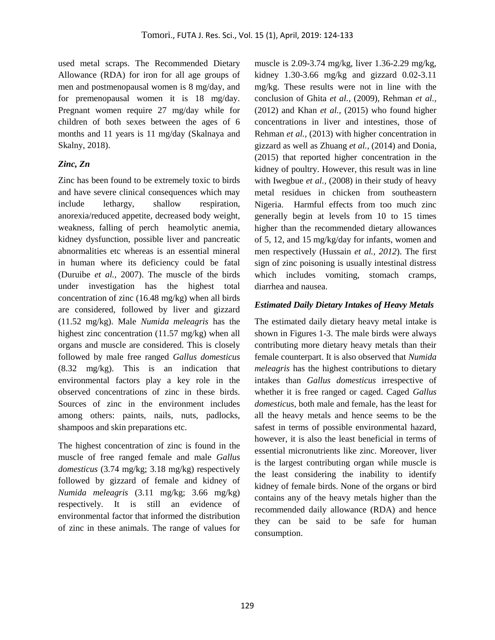used metal scraps. The Recommended Dietary Allowance (RDA) for iron for all age groups of men and postmenopausal women is 8 mg/day, and for premenopausal women it is 18 mg/day. Pregnant women require 27 mg/day while for children of both sexes between the ages of 6 months and 11 years is 11 mg/day (Skalnaya and Skalny, 2018).

## *Zinc, Zn*

Zinc has been found to be extremely toxic to birds and have severe clinical consequences which may include lethargy, shallow respiration, anorexia/reduced appetite, decreased body weight, weakness, falling of perch heamolytic anemia, kidney dysfunction, possible liver and pancreatic abnormalities etc whereas is an essential mineral in human where its deficiency could be fatal (Duruibe *et al.,* 2007). The muscle of the birds under investigation has the highest total concentration of zinc (16.48 mg/kg) when all birds are considered, followed by liver and gizzard (11.52 mg/kg). Male *Numida meleagris* has the highest zinc concentration (11.57 mg/kg) when all organs and muscle are considered. This is closely followed by male free ranged *Gallus domesticus*  (8.32 mg/kg). This is an indication that environmental factors play a key role in the observed concentrations of zinc in these birds. Sources of zinc in the environment includes among others: paints, nails, nuts, padlocks, shampoos and skin preparations etc.

The highest concentration of zinc is found in the muscle of free ranged female and male *Gallus domesticus* (3.74 mg/kg; 3.18 mg/kg) respectively followed by gizzard of female and kidney of *Numida meleagris* (3.11 mg/kg; 3.66 mg/kg) respectively. It is still an evidence of environmental factor that informed the distribution of zinc in these animals. The range of values for

muscle is 2.09-3.74 mg/kg, liver 1.36-2.29 mg/kg, kidney 1.30-3.66 mg/kg and gizzard 0.02-3.11 mg/kg. These results were not in line with the conclusion of Ghita *et al.,* (2009), Rehman *et al.,*  (2012) and Khan *et al.,* (2015) who found higher concentrations in liver and intestines, those of Rehman *et al.,* (2013) with higher concentration in gizzard as well as Zhuang *et al.,* (2014) and Donia, (2015) that reported higher concentration in the kidney of poultry. However, this result was in line with Iwegbue *et al.*, (2008) in their study of heavy metal residues in chicken from southeastern Nigeria. Harmful effects from too much zinc generally begin at levels from 10 to 15 times higher than the recommended dietary allowances of 5, 12, and 15 mg/kg/day for infants, women and men respectively (Hussain *et al., 2012*). The first sign of zinc poisoning is usually intestinal distress which includes vomiting, stomach cramps, diarrhea and nausea.

### *Estimated Daily Dietary Intakes of Heavy Metals*

The estimated daily dietary heavy metal intake is shown in Figures 1-3. The male birds were always contributing more dietary heavy metals than their female counterpart. It is also observed that *Numida meleagris* has the highest contributions to dietary intakes than *Gallus domesticus* irrespective of whether it is free ranged or caged. Caged *Gallus domesticus,* both male and female, has the least for all the heavy metals and hence seems to be the safest in terms of possible environmental hazard, however, it is also the least beneficial in terms of essential micronutrients like zinc. Moreover, liver is the largest contributing organ while muscle is the least considering the inability to identify kidney of female birds. None of the organs or bird contains any of the heavy metals higher than the recommended daily allowance (RDA) and hence they can be said to be safe for human consumption.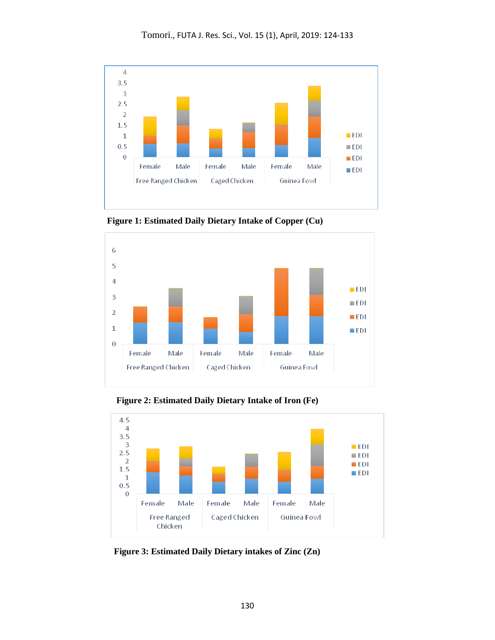

 **Figure 1: Estimated Daily Dietary Intake of Copper (Cu)**



 **Figure 2: Estimated Daily Dietary Intake of Iron (Fe)**



 **Figure 3: Estimated Daily Dietary intakes of Zinc (Zn)**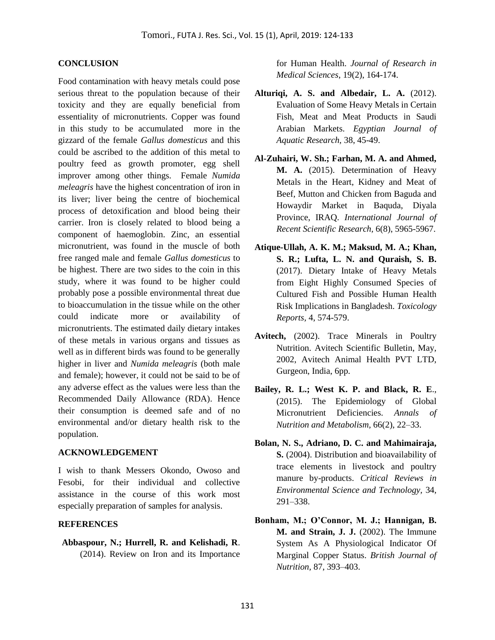#### **CONCLUSION**

Food contamination with heavy metals could pose serious threat to the population because of their toxicity and they are equally beneficial from essentiality of micronutrients. Copper was found in this study to be accumulated more in the gizzard of the female *Gallus domesticus* and this could be ascribed to the addition of this metal to poultry feed as growth promoter, egg shell improver among other things. Female *Numida meleagris* have the highest concentration of iron in its liver; liver being the centre of biochemical process of detoxification and blood being their carrier. Iron is closely related to blood being a component of haemoglobin. Zinc, an essential micronutrient, was found in the muscle of both free ranged male and female *Gallus domesticus* to be highest. There are two sides to the coin in this study, where it was found to be higher could probably pose a possible environmental threat due to bioaccumulation in the tissue while on the other could indicate more or availability of micronutrients. The estimated daily dietary intakes of these metals in various organs and tissues as well as in different birds was found to be generally higher in liver and *Numida meleagris* (both male and female); however, it could not be said to be of any adverse effect as the values were less than the Recommended Daily Allowance (RDA). Hence their consumption is deemed safe and of no environmental and/or dietary health risk to the population.

#### **ACKNOWLEDGEMENT**

I wish to thank Messers Okondo, Owoso and Fesobi, for their individual and collective assistance in the course of this work most especially preparation of samples for analysis.

#### **REFERENCES**

**Abbaspour, N.; Hurrell, R. and Kelishadi, R**. (2014). Review on Iron and its Importance for Human Health. *Journal of Research in Medical Sciences*, 19(2), 164-174.

- **Alturiqi, A. S. and Albedair, L. A.** (2012). Evaluation of Some Heavy Metals in Certain Fish, Meat and Meat Products in Saudi Arabian Markets. *Egyptian Journal of Aquatic Research,* 38, 45-49.
- **Al-Zuhairi, W. Sh.; Farhan, M. A. and Ahmed, M. A.** (2015). Determination of Heavy Metals in the Heart, Kidney and Meat of Beef, Mutton and Chicken from Baguda and Howaydir Market in Baquda, Diyala Province, IRAQ. *International Journal of Recent Scientific Research,* 6(8), 5965-5967.
- **Atique-Ullah, A. K. M.; Maksud, M. A.; Khan, S. R.; Lufta, L. N. and Quraish, S. B.** (2017). Dietary Intake of Heavy Metals from Eight Highly Consumed Species of Cultured Fish and Possible Human Health Risk Implications in Bangladesh. *Toxicology Reports,* 4, 574-579.
- **Avitech,** (2002). Trace Minerals in Poultry Nutrition. Avitech Scientific Bulletin, May, 2002, Avitech Animal Health PVT LTD, Gurgeon, India, 6pp.
- **Bailey, R. L.; West K. P. and Black, R. E**., (2015). The Epidemiology of Global Micronutrient Deficiencies. *Annals of Nutrition and Metabolism,* 66(2), 22–33.
- **Bolan, N. S., Adriano, D. C. and Mahimairaja, S.** (2004). Distribution and bioavailability of trace elements in livestock and poultry manure by-products. *Critical Reviews in Environmental Science and Technology,* 34, 291–338.
- **Bonham, M.; O'Connor, M. J.; Hannigan, B. M. and Strain, J. J.** (2002). The Immune System As A Physiological Indicator Of Marginal Copper Status. *British Journal of Nutrition,* 87, 393–403.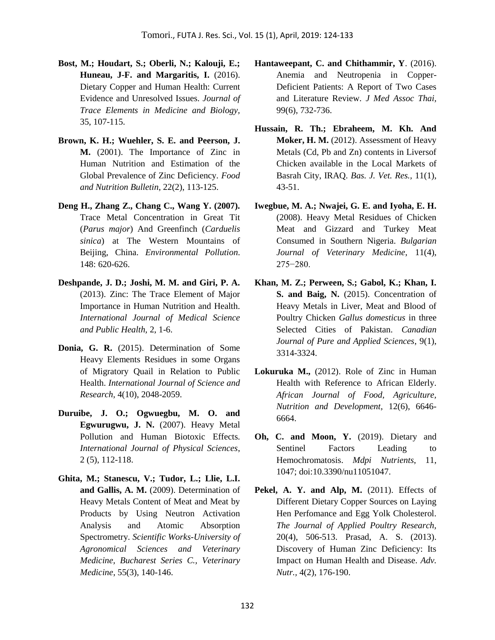- **Bost, M.; Houdart, S.; Oberli, N.; Kalouji, E.;**  Huneau, J-F. and Margaritis, I. (2016). Dietary Copper and Human Health: Current Evidence and Unresolved Issues. *Journal of Trace Elements in Medicine and Biology,*  35, 107-115.
- **Brown, K. H.; Wuehler, S. E. and Peerson, J. M.** (2001). The Importance of Zinc in Human Nutrition and Estimation of the Global Prevalence of Zinc Deficiency. *Food and Nutrition Bulletin*, 22(2), 113-125.
- **Deng H., Zhang Z., Chang C., Wang Y. (2007).** Trace Metal Concentration in Great Tit (*Parus major*) And Greenfinch (*Carduelis sinica*) at The Western Mountains of Beijing, China. *Environmental Pollution*. 148: 620-626.
- **Deshpande, J. D.; Joshi, M. M. and Giri, P. A.** (2013). Zinc: The Trace Element of Major Importance in Human Nutrition and Health. *International Journal of Medical Science and Public Health,* 2, 1-6.
- **Donia, G. R.** (2015). Determination of Some Heavy Elements Residues in some Organs of Migratory Quail in Relation to Public Health. *International Journal of Science and Research,* 4(10), 2048-2059.
- **Duruibe, J. O.; Ogwuegbu, M. O. and Egwurugwu, J. N.** (2007). Heavy Metal Pollution and Human Biotoxic Effects. *International Journal of Physical Sciences*, 2 (5), 112-118.
- **Ghita, M.; Stanescu, V.; Tudor, L.; Llie, L.I. and Gallis, A. M.** (2009). Determination of Heavy Metals Content of Meat and Meat by Products by Using Neutron Activation Analysis and Atomic Absorption Spectrometry. *Scientific Works-University of Agronomical Sciences and Veterinary Medicine, Bucharest Series C., Veterinary Medicine*, 55(3), 140-146.
- **Hantaweepant, C. and Chithammir, Y**. (2016). Anemia and Neutropenia in Copper-Deficient Patients: A Report of Two Cases and Literature Review. *J Med Assoc Thai,*  99(6), 732-736.
- **Hussain, R. Th.; Ebraheem, M. Kh. And Moker, H. M.** (2012). Assessment of Heavy Metals (Cd, Pb and Zn) contents in Liversof Chicken available in the Local Markets of Basrah City, IRAQ. *Bas. J. Vet. Res.,* 11(1), 43-51.
- **Iwegbue, M. A.; Nwajei, G. E. and Iyoha, E. H.** (2008). Heavy Metal Residues of Chicken Meat and Gizzard and Turkey Meat Consumed in Southern Nigeria. *Bulgarian Journal of Veterinary Medicine*, 11(4), 275−280.
- **Khan, M. Z.; Perween, S.; Gabol, K.; Khan, I. S. and Baig, N.** (2015). Concentration of Heavy Metals in Liver, Meat and Blood of Poultry Chicken *Gallus domesticus* in three Selected Cities of Pakistan. *Canadian Journal of Pure and Applied Sciences*, 9(1), 3314-3324.
- **Lokuruka M.,** (2012). Role of Zinc in Human Health with Reference to African Elderly. *African Journal of Food, Agriculture, Nutrition and Development*, 12(6), 6646- 6664.
- **Oh, C. and Moon, Y.** (2019). Dietary and Sentinel Factors Leading to Hemochromatosis. *Mdpi Nutrients*, 11, 1047; doi:10.3390/nu11051047.
- Pekel, A. Y. and Alp, M. (2011). Effects of Different Dietary Copper Sources on Laying Hen Perfomance and Egg Yolk Cholesterol. *The Journal of Applied Poultry Research,*  20(4), 506-513. Prasad, A. S. (2013). Discovery of Human Zinc Deficiency: Its Impact on Human Health and Disease. *Adv. Nutr.,* 4(2), 176-190.